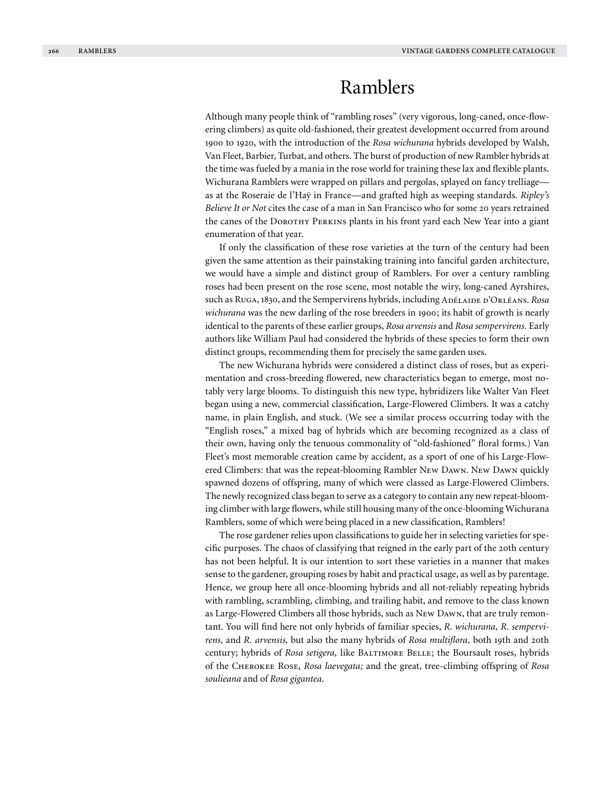# Ramblers

Although many people think of "rambling roses" (very vigorous, long-caned, once-flowering climbers) as quite old-fashioned, their greatest development occurred from around 1900 to 1920, with the introduction of the *Rosa wichurana* hybrids developed by Walsh, Van Fleet, Barbier, Turbat, and others. The burst of production of new Rambler hybrids at the time was fueled by a mania in the rose world for training these lax and flexible plants. Wichurana Ramblers were wrapped on pillars and pergolas, splayed on fancy trelliage as at the Roseraie de l'Haÿ in France—and grafted high as weeping standards. *Ripley's Believe It or Not* cites the case of a man in San Francisco who for some 20 years retrained the canes of the DOROTHY PERKINS plants in his front yard each New Year into a giant enumeration of that year.

If only the classification of these rose varieties at the turn of the century had been given the same attention as their painstaking training into fanciful garden architecture, we would have a simple and distinct group of Ramblers. For over a century rambling roses had been present on the rose scene, most notable the wiry, long-caned Ayrshires, such as Ruga, 1830, and the Sempervirens hybrids, including Adélaide d'Orléans. *Rosa wichurana* was the new darling of the rose breeders in 1900; its habit of growth is nearly identical to the parents of these earlier groups, *Rosa arvensis* and *Rosa sempervirens.* Early authors like William Paul had considered the hybrids of these species to form their own distinct groups, recommending them for precisely the same garden uses.

The new Wichurana hybrids were considered a distinct class of roses, but as experimentation and cross-breeding flowered, new characteristics began to emerge, most notably very large blooms. To distinguish this new type, hybridizers like Walter Van Fleet began using a new, commercial classification, Large-Flowered Climbers. It was a catchy name, in plain English, and stuck. (We see a similar process occurring today with the "English roses," a mixed bag of hybrids which are becoming recognized as a class of their own, having only the tenuous commonality of "old-fashioned" floral forms.) Van Fleet's most memorable creation came by accident, as a sport of one of his Large-Flowered Climbers: that was the repeat-blooming Rambler New Dawn. New Dawn quickly spawned dozens of offspring, many of which were classed as Large-Flowered Climbers. The newly recognized class began to serve as a category to contain any new repeat-blooming climber with large flowers, while still housing many of the once-blooming Wichurana Ramblers, some of which were being placed in a new classification, Ramblers!

The rose gardener relies upon classifications to guide her in selecting varieties for specific purposes. The chaos of classifying that reigned in the early part of the 20th century has not been helpful. It is our intention to sort these varieties in a manner that makes sense to the gardener, grouping roses by habit and practical usage, as well as by parentage. Hence, we group here all once-blooming hybrids and all not-reliably repeating hybrids with rambling, scrambling, climbing, and trailing habit, and remove to the class known as Large-Flowered Climbers all those hybrids, such as New Dawn, that are truly remontant. You will find here not only hybrids of familiar species, *R. wichurana, R. sempervirens,* and *R. arvensis,* but also the many hybrids of *Rosa multiflora,* both 19th and 20th century; hybrids of *Rosa setigera,* like Baltimore Belle; the Boursault roses, hybrids of the Cherokee Rose, *Rosa laevegata;* and the great, tree-climbing offspring of *Rosa soulieana* and of *Rosa gigantea.*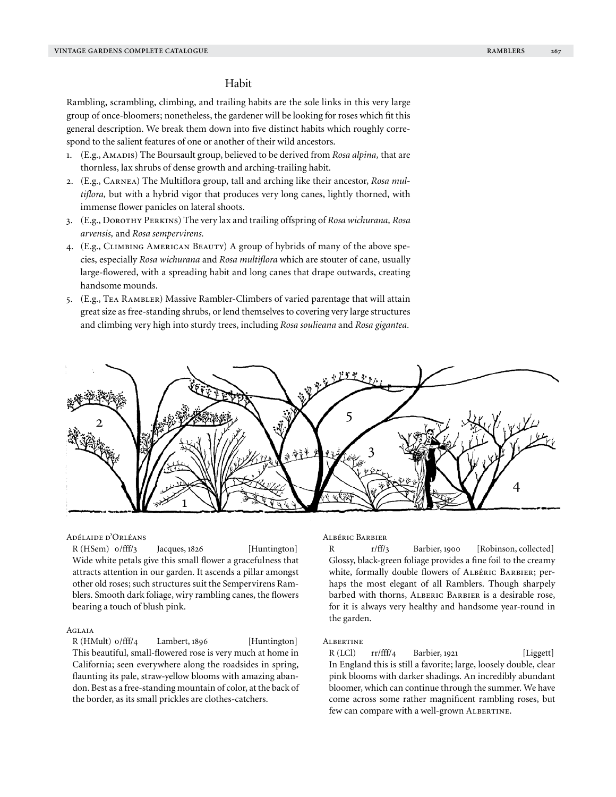# Habit

Rambling, scrambling, climbing, and trailing habits are the sole links in this very large group of once-bloomers; nonetheless, the gardener will be looking for roses which fit this general description. We break them down into five distinct habits which roughly correspond to the salient features of one or another of their wild ancestors.

- 1. (E.g., AMADIS) The Boursault group, believed to be derived from *Rosa alpina*, that are thornless, lax shrubs of dense growth and arching-trailing habit.
- 2. (E.g., Carnea) The Multiflora group, tall and arching like their ancestor, *Rosa multiflora,* but with a hybrid vigor that produces very long canes, lightly thorned, with immense flower panicles on lateral shoots.
- 3. (E.g., Dorothy Perkins) The very lax and trailing offspring of *Rosa wichurana, Rosa arvensis,* and *Rosa sempervirens.*
- 4. (E.g., Climbing American Beauty) A group of hybrids of many of the above species, especially *Rosa wichurana* and *Rosa multiflora* which are stouter of cane, usually large-flowered, with a spreading habit and long canes that drape outwards, creating handsome mounds.
- 5. (E.g., Tea Rambler) Massive Rambler-Climbers of varied parentage that will attain great size as free-standing shrubs, or lend themselves to covering very large structures and climbing very high into sturdy trees, including *Rosa soulieana* and *Rosa gigantea.*



## Adélaide d'Orléans

R (HSem) o/fff/3 Jacques, 1826 [Huntington] Wide white petals give this small flower a gracefulness that attracts attention in our garden. It ascends a pillar amongst other old roses; such structures suit the Sempervirens Ramblers. Smooth dark foliage, wiry rambling canes, the flowers bearing a touch of blush pink.

#### **AGLAIA**

R (HMult) o/fff/4 Lambert, 1896 [Huntington] This beautiful, small-flowered rose is very much at home in California; seen everywhere along the roadsides in spring, flaunting its pale, straw-yellow blooms with amazing abandon. Best as a free-standing mountain of color, at the back of the border, as its small prickles are clothes-catchers.

## Albéric Barbier

R r/ff/3 Barbier, 1900 [Robinson, collected] Glossy, black-green foliage provides a fine foil to the creamy white, formally double flowers of Albéric Barbier; perhaps the most elegant of all Ramblers. Though sharpely barbed with thorns, ALBERIC BARBIER is a desirable rose, for it is always very healthy and handsome year-round in the garden.

## **ALBERTINE**

R (LCl) rr/fff/4 Barbier, 1921 [Liggett] In England this is still a favorite; large, loosely double, clear pink blooms with darker shadings. An incredibly abundant bloomer, which can continue through the summer. We have come across some rather magnificent rambling roses, but few can compare with a well-grown ALBERTINE.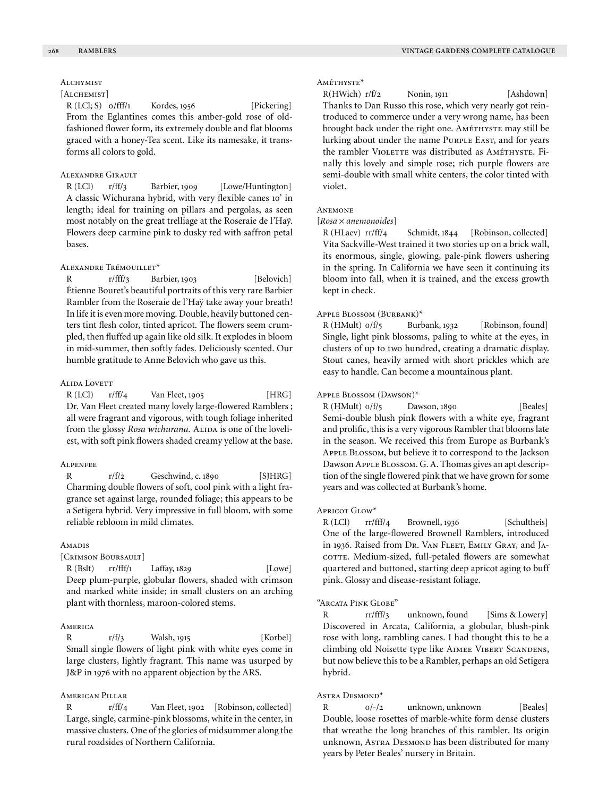# ALCHYMIST

# [ALCHEMIST]

R (LCl; S) o/fff/1 Kordes, 1956 [Pickering] From the Eglantines comes this amber-gold rose of oldfashioned flower form, its extremely double and flat blooms graced with a honey-Tea scent. Like its namesake, it transforms all colors to gold.

#### Alexandre Girault

R (LCl) r/ff/3 Barbier, 1909 [Lowe/Huntington] A classic Wichurana hybrid, with very flexible canes 10' in length; ideal for training on pillars and pergolas, as seen most notably on the great trelliage at the Roseraie de l'Haÿ. Flowers deep carmine pink to dusky red with saffron petal bases.

#### Alexandre Trémouillet\*

R r/fff/3 Barbier, 1903 [Belovich] Étienne Bouret's beautiful portraits of this very rare Barbier Rambler from the Roseraie de l'Haÿ take away your breath! In life it is even more moving. Double, heavily buttoned centers tint flesh color, tinted apricot. The flowers seem crumpled, then fluffed up again like old silk. It explodes in bloom in mid-summer, then softly fades. Deliciously scented. Our humble gratitude to Anne Belovich who gave us this.

## **ALIDA LOVETT**

 $R$  (LCl)  $r/ff/4$  Van Fleet, 1905 [HRG] Dr. Van Fleet created many lovely large-flowered Ramblers ; all were fragrant and vigorous, with tough foliage inherited from the glossy *Rosa wichurana*. ALIDA is one of the loveliest, with soft pink flowers shaded creamy yellow at the base.

#### Alpenfee

R  $r/f/2$  Geschwind, c. 1890 [SJHRG] Charming double flowers of soft, cool pink with a light fragrance set against large, rounded foliage; this appears to be a Setigera hybrid. Very impressive in full bloom, with some reliable rebloom in mild climates.

## Amadis

## [Crimson Boursault]

 $R (Bslt)$  rr/fff/1 Laffay, 1829 [Lowe] Deep plum-purple, globular flowers, shaded with crimson and marked white inside; in small clusters on an arching plant with thornless, maroon-colored stems.

#### **AMERICA**

R  $r/f/3$  Walsh, 1915 [Korbel] Small single flowers of light pink with white eyes come in large clusters, lightly fragrant. This name was usurped by J&P in 1976 with no apparent objection by the ARS.

## American Pillar

R r/ff/4 Van Fleet, 1902 [Robinson, collected] Large, single, carmine-pink blossoms, white in the center, in massive clusters. One of the glories of midsummer along the rural roadsides of Northern California.

## Améthyste\*

R(HWich) r/f/2 Nonin, 1911 [Ashdown] Thanks to Dan Russo this rose, which very nearly got reintroduced to commerce under a very wrong name, has been brought back under the right one. AMÉTHYSTE may still be lurking about under the name PURPLE EAST, and for years the rambler VIOLETTE was distributed as AMÉTHYSTE. Finally this lovely and simple rose; rich purple flowers are semi-double with small white centers, the color tinted with violet.

## **ANEMONE**

## [*Rosa* × *anemonoides*]

R (HLaev) rr/ff/4 Schmidt, 1844 [Robinson, collected] Vita Sackville-West trained it two stories up on a brick wall, its enormous, single, glowing, pale-pink flowers ushering in the spring. In California we have seen it continuing its bloom into fall, when it is trained, and the excess growth kept in check.

## Apple Blossom (Burbank)\*

R (HMult) o/f/5 Burbank, 1932 [Robinson, found] Single, light pink blossoms, paling to white at the eyes, in clusters of up to two hundred, creating a dramatic display. Stout canes, heavily armed with short prickles which are easy to handle. Can become a mountainous plant.

#### Apple Blossom (Dawson)\*

 $R$  (HMult)  $o/f/5$  Dawson, 1890 [Beales] Semi-double blush pink flowers with a white eye, fragrant and prolific, this is a very vigorous Rambler that blooms late in the season. We received this from Europe as Burbank's Apple Blossom, but believe it to correspond to the Jackson Dawson Apple Blossom. G. A. Thomas gives an apt description of the single flowered pink that we have grown for some years and was collected at Burbank's home.

#### $A$ pricot Glow<sup>\*</sup>

R (LCl) rr/fff/4 Brownell, 1936 [Schultheis] One of the large-flowered Brownell Ramblers, introduced in 1936. Raised from Dr. Van Fleet, Emily Gray, and Jacorre. Medium-sized, full-petaled flowers are somewhat quartered and buttoned, starting deep apricot aging to buff pink. Glossy and disease-resistant foliage.

#### "Arcata Pink Globe"

R rr/fff/3 unknown, found [Sims & Lowery] Discovered in Arcata, California, a globular, blush-pink rose with long, rambling canes. I had thought this to be a climbing old Noisette type like Aimee Vibert Scandens, but now believe this to be a Rambler, perhaps an old Setigera hybrid.

## ASTRA DESMOND\*

R  $0/-/2$  unknown, unknown [Beales] Double, loose rosettes of marble-white form dense clusters that wreathe the long branches of this rambler. Its origin unknown, Astra Desmond has been distributed for many years by Peter Beales' nursery in Britain.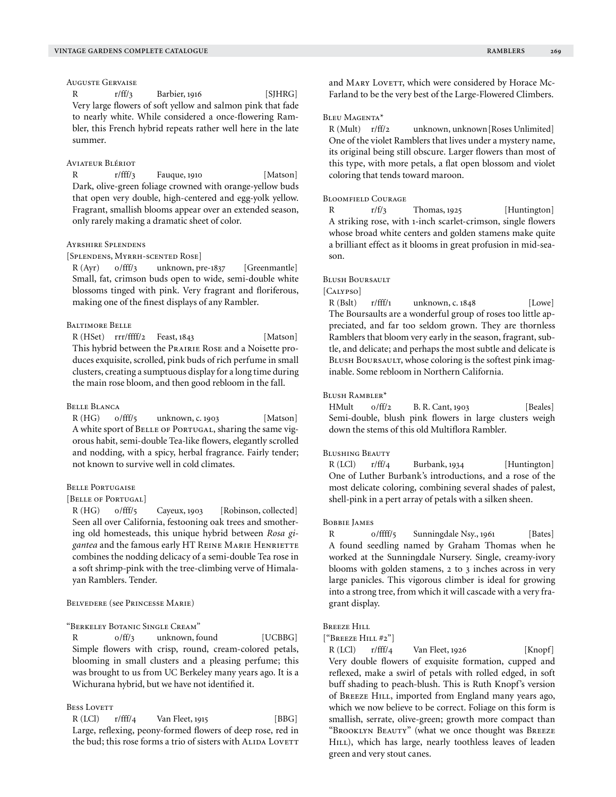## Auguste Gervaise

R  $r/ff/3$  Barbier, 1916 [SJHRG] Very large flowers of soft yellow and salmon pink that fade to nearly white. While considered a once-flowering Rambler, this French hybrid repeats rather well here in the late summer.

## Aviateur Blériot

R r/fff/3 Fauque, 1910 [Matson] Dark, olive-green foliage crowned with orange-yellow buds that open very double, high-centered and egg-yolk yellow. Fragrant, smallish blooms appear over an extended season, only rarely making a dramatic sheet of color.

## Ayrshire Splendens

[SPLENDENS, MYRRH-SCENTED ROSE]

R (Ayr) o/fff/3 unknown, pre-1837 [Greenmantle] Small, fat, crimson buds open to wide, semi-double white blossoms tinged with pink. Very fragrant and floriferous, making one of the finest displays of any Rambler.

## Baltimore Belle

R (HSet) rrr/ffff/2 Feast, 1843 [Matson] This hybrid between the Prairie Rose and a Noisette produces exquisite, scrolled, pink buds of rich perfume in small clusters, creating a sumptuous display for a long time during the main rose bloom, and then good rebloom in the fall.

#### Belle Blanca

R (HG) o/fff/5 unknown, c. 1903 [Matson] A white sport of BELLE OF PORTUGAL, sharing the same vigorous habit, semi-double Tea-like flowers, elegantly scrolled and nodding, with a spicy, herbal fragrance. Fairly tender; not known to survive well in cold climates.

#### Belle Portugaise

#### [BELLE OF PORTUGAL]

R (HG) o/fff/5 Cayeux, 1903 [Robinson, collected] Seen all over California, festooning oak trees and smothering old homesteads, this unique hybrid between *Rosa gi*gantea and the famous early HT REINE MARIE HENRIETTE combines the nodding delicacy of a semi-double Tea rose in a soft shrimp-pink with the tree-climbing verve of Himalayan Ramblers. Tender.

### Belvedere (see Princesse Marie)

"Berkeley Botanic Single Cream"

R  $0/ff/3$  unknown, found [UCBBG] Simple flowers with crisp, round, cream-colored petals, blooming in small clusters and a pleasing perfume; this was brought to us from UC Berkeley many years ago. It is a Wichurana hybrid, but we have not identified it.

## **BESS LOVETT**

 $R (LCI)$   $r/fft/4$  Van Fleet, 1915 [BBG] Large, reflexing, peony-formed flowers of deep rose, red in the bud; this rose forms a trio of sisters with ALIDA LOVETT and MARY LOVETT, which were considered by Horace Mc-Farland to be the very best of the Large-Flowered Climbers.

## Bleu Magenta\*

R (Mult) r/ff/2 unknown, unknown[Roses Unlimited] One of the violet Ramblers that lives under a mystery name, its original being still obscure. Larger flowers than most of this type, with more petals, a flat open blossom and violet coloring that tends toward maroon.

#### Bloomfield Courage

R r/f/3 Thomas, 1925 [Huntington] A striking rose, with 1-inch scarlet-crimson, single flowers whose broad white centers and golden stamens make quite a brilliant effect as it blooms in great profusion in mid-season.

## Blush Boursault

[CALYPSO]

 $R (Bslt)$   $r/fff/1$  unknown, c. 1848 [Lowe] The Boursaults are a wonderful group of roses too little appreciated, and far too seldom grown. They are thornless Ramblers that bloom very early in the season, fragrant, subtle, and delicate; and perhaps the most subtle and delicate is BLUSH BOURSAULT, whose coloring is the softest pink imaginable. Some rebloom in Northern California.

#### Blush Rambler\*

 $HMult$   $o/ff/2$  B. R. Cant, 1903 [Beales] Semi-double, blush pink flowers in large clusters weigh down the stems of this old Multiflora Rambler.

#### Blushing Beauty

 $R (LCI)$   $r/ff/4$  Burbank, 1934 [Huntington] One of Luther Burbank's introductions, and a rose of the most delicate coloring, combining several shades of palest, shell-pink in a pert array of petals with a silken sheen.

#### Bobbie James

R o/ffff/5 Sunningdale Nsy., 1961 [Bates] A found seedling named by Graham Thomas when he worked at the Sunningdale Nursery. Single, creamy-ivory blooms with golden stamens, 2 to 3 inches across in very large panicles. This vigorous climber is ideal for growing into a strong tree, from which it will cascade with a very fragrant display.

#### Breeze Hill

#### ["Breeze Hill #2"]

 $R (LCI)$   $r/fff/4$  Van Fleet, 1926 [Knopf] Very double flowers of exquisite formation, cupped and reflexed, make a swirl of petals with rolled edged, in soft buff shading to peach-blush. This is Ruth Knopf's version of BREEZE HILL, imported from England many years ago, which we now believe to be correct. Foliage on this form is smallish, serrate, olive-green; growth more compact than "Brooklyn Beauty" (what we once thought was Breeze HILL), which has large, nearly toothless leaves of leaden green and very stout canes.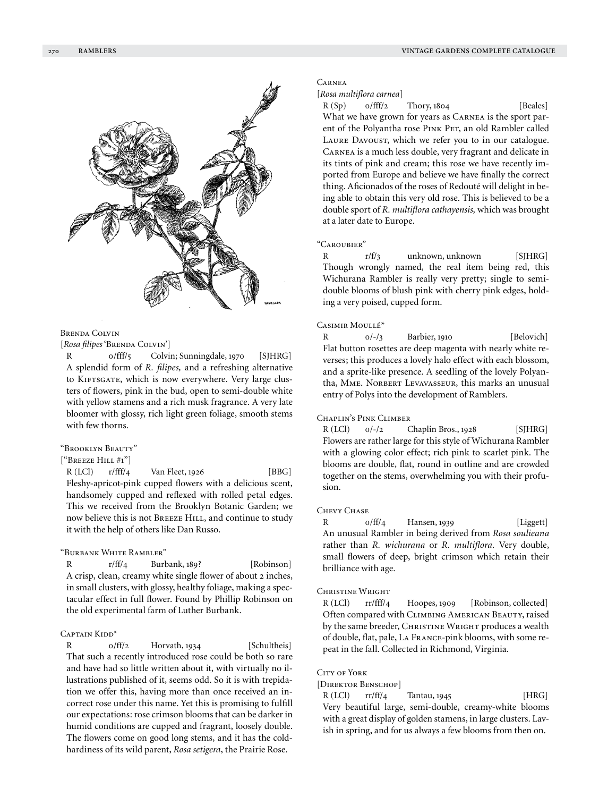

## Brenda Colvin

[Rosa filipes 'BRENDA COLVIN']

R 0/fff/5 Colvin; Sunningdale, 1970 [SJHRG] A splendid form of *R. filipes,* and a refreshing alternative to KIFTSGATE, which is now everywhere. Very large clusters of flowers, pink in the bud, open to semi-double white with yellow stamens and a rich musk fragrance. A very late bloomer with glossy, rich light green foliage, smooth stems with few thorns.

#### "Brooklyn Beauty"

["Breeze Hill #1"]

 $R (LCI)$  r/fff/4 Van Fleet, 1926 [BBG] Fleshy-apricot-pink cupped flowers with a delicious scent, handsomely cupped and reflexed with rolled petal edges. This we received from the Brooklyn Botanic Garden; we now believe this is not BREEZE HILL, and continue to study it with the help of others like Dan Russo.

## "Burbank White Rambler"

R r/ff/4 Burbank, 189? [Robinson] A crisp, clean, creamy white single flower of about 2 inches, in small clusters, with glossy, healthy foliage, making a spectacular effect in full flower. Found by Phillip Robinson on the old experimental farm of Luther Burbank.

## CAPTAIN KIDD<sup>\*</sup>

R  $0/f\text{f}/2$  Horvath, 1934 [Schultheis] That such a recently introduced rose could be both so rare and have had so little written about it, with virtually no illustrations published of it, seems odd. So it is with trepidation we offer this, having more than once received an incorrect rose under this name. Yet this is promising to fulfill our expectations: rose crimson blooms that can be darker in humid conditions are cupped and fragrant, loosely double. The flowers come on good long stems, and it has the coldhardiness of its wild parent, *Rosa setigera*, the Prairie Rose.

#### **CARNEA**

#### [*Rosa multiflora carnea*]

 $R(Sp)$   $0/\text{fff}/2$  Thory, 1804 [Beales] What we have grown for years as CARNEA is the sport parent of the Polyantha rose Pink Pet, an old Rambler called LAURE DAVOUST, which we refer you to in our catalogue. Carnea is a much less double, very fragrant and delicate in its tints of pink and cream; this rose we have recently imported from Europe and believe we have finally the correct thing. Aficionados of the roses of Redouté will delight in being able to obtain this very old rose. This is believed to be a double sport of *R. multiflora cathayensis,* which was brought at a later date to Europe.

## "Caroubier"

R r/f/3 unknown, unknown [SJHRG] Though wrongly named, the real item being red, this Wichurana Rambler is really very pretty; single to semidouble blooms of blush pink with cherry pink edges, holding a very poised, cupped form.

## Casimir Moullé\*

R  $0/-/3$  Barbier, 1910 [Belovich] Flat button rosettes are deep magenta with nearly white reverses; this produces a lovely halo effect with each blossom, and a sprite-like presence. A seedling of the lovely Polyantha, MME. NORBERT LEVAVASSEUR, this marks an unusual entry of Polys into the development of Ramblers.

#### Chaplin's Pink Climber

 $R (LCI)$   $0/-/2$  Chaplin Bros., 1928 [SJHRG] Flowers are rather large for this style of Wichurana Rambler with a glowing color effect; rich pink to scarlet pink. The blooms are double, flat, round in outline and are crowded together on the stems, overwhelming you with their profusion.

## Chevy Chase

R  $0/ff/4$  Hansen, 1939 [Liggett] An unusual Rambler in being derived from *Rosa soulieana* rather than *R. wichurana* or *R. multiflora.* Very double, small flowers of deep, bright crimson which retain their brilliance with age.

#### Christine Wright

R (LCl) rr/fff/4 Hoopes, 1909 [Robinson, collected] Often compared with Climbing American Beauty, raised by the same breeder, CHRISTINE WRIGHT produces a wealth of double, flat, pale, La France-pink blooms, with some repeat in the fall. Collected in Richmond, Virginia.

#### CITY OF YORK

#### [Direktor Benschop]

 $R (LCI)$   $rr/ff/4$  Tantau, 1945 [HRG] Very beautiful large, semi-double, creamy-white blooms with a great display of golden stamens, in large clusters. Lavish in spring, and for us always a few blooms from then on.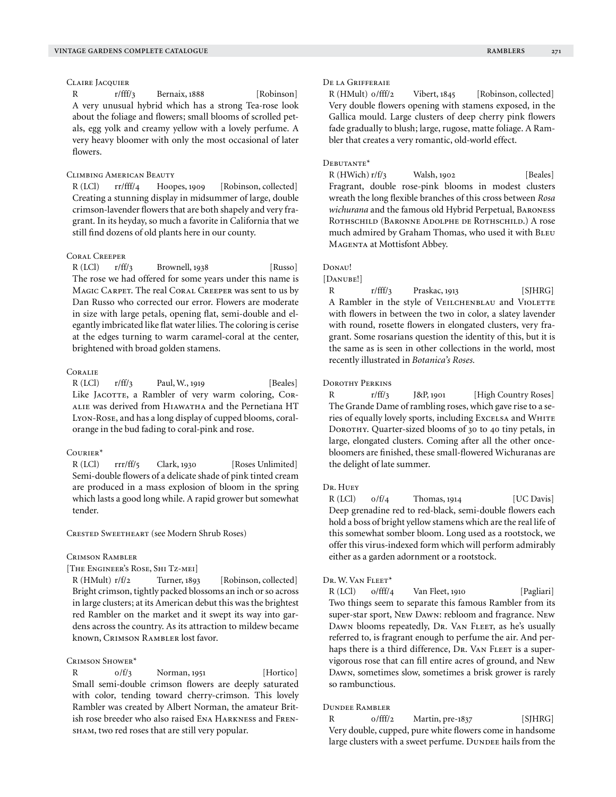## Claire Jacquier

R r/fff/3 Bernaix, 1888 [Robinson] A very unusual hybrid which has a strong Tea-rose look about the foliage and flowers; small blooms of scrolled petals, egg yolk and creamy yellow with a lovely perfume. A very heavy bloomer with only the most occasional of later flowers.

#### Climbing American Beauty

R (LCl) rr/fff/4 Hoopes, 1909 [Robinson, collected] Creating a stunning display in midsummer of large, double crimson-lavender flowers that are both shapely and very fragrant. In its heyday, so much a favorite in California that we still find dozens of old plants here in our county.

## Coral Creeper

 $R (LCI)$   $r/ff/3$  Brownell, 1938 [Russo] The rose we had offered for some years under this name is MAGIC CARPET. The real CORAL CREEPER was sent to us by Dan Russo who corrected our error. Flowers are moderate in size with large petals, opening flat, semi-double and elegantly imbricated like flat water lilies. The coloring is cerise at the edges turning to warm caramel-coral at the center, brightened with broad golden stamens.

#### **CORALIE**

R (LCl) r/ff/3 Paul, W., 1919 [Beales] Like JACOTTE, a Rambler of very warm coloring, CORalie was derived from Hiawatha and the Pernetiana HT Lyon-Rose, and has a long display of cupped blooms, coralorange in the bud fading to coral-pink and rose.

#### Courier\*

R (LCl) rrr/ff/5 Clark, 1930 [Roses Unlimited] Semi-double flowers of a delicate shade of pink tinted cream are produced in a mass explosion of bloom in the spring which lasts a good long while. A rapid grower but somewhat tender.

Crested Sweetheart (see Modern Shrub Roses)

#### Crimson Rambler

[The Engineer's Rose, Shi Tz-mei]

R (HMult) r/f/2 Turner, 1893 [Robinson, collected] Bright crimson, tightly packed blossoms an inch or so across in large clusters; at its American debut this was the brightest red Rambler on the market and it swept its way into gardens across the country. As its attraction to mildew became known, Crimson Rambler lost favor.

#### Crimson Shower\*

R  $0/f_3$  Norman, 1951 [Hortico] Small semi-double crimson flowers are deeply saturated with color, tending toward cherry-crimson. This lovely Rambler was created by Albert Norman, the amateur British rose breeder who also raised Ena Harkness and Frensham, two red roses that are still very popular.

## De la Grifferaie

R (HMult) o/fff/2 Vibert, 1845 [Robinson, collected] Very double flowers opening with stamens exposed, in the Gallica mould. Large clusters of deep cherry pink flowers fade gradually to blush; large, rugose, matte foliage. A Rambler that creates a very romantic, old-world effect.

## Debutante\*

 $R(HWich) r/f/3$  Walsh, 1902 [Beales] Fragrant, double rose-pink blooms in modest clusters wreath the long flexible branches of this cross between *Rosa wichurana* and the famous old Hybrid Perpetual, Baroness ROTHSCHILD (BARONNE ADOLPHE DE ROTHSCHILD.) A rose much admired by Graham Thomas, who used it with BLEU Magenta at Mottisfont Abbey.

## Donau!

#### [DANUBE!]

R  $r/fff/3$  Praskac, 1913 [SJHRG] A Rambler in the style of VEILCHENBLAU and VIOLETTE with flowers in between the two in color, a slatey lavender with round, rosette flowers in elongated clusters, very fragrant. Some rosarians question the identity of this, but it is the same as is seen in other collections in the world, most recently illustrated in *Botanica's Roses.*

#### Dorothy Perkins

R r/ff/3 J&P, 1901 [High Country Roses] The Grande Dame of rambling roses, which gave rise to a series of equally lovely sports, including Excelsa and WHITE DOROTHY. Quarter-sized blooms of 30 to 40 tiny petals, in large, elongated clusters. Coming after all the other oncebloomers are finished, these small-flowered Wichuranas are the delight of late summer.

#### Dr. Huey

 $R (LCI)$   $0/f/4$  Thomas, 1914 [UC Davis] Deep grenadine red to red-black, semi-double flowers each hold a boss of bright yellow stamens which are the real life of this somewhat somber bloom. Long used as a rootstock, we offer this virus-indexed form which will perform admirably either as a garden adornment or a rootstock.

#### Dr. W. Van Fleet\*

R (LCl) o/fff/4 Van Fleet, 1910 [Pagliari] Two things seem to separate this famous Rambler from its super-star sport, New Dawn: rebloom and fragrance. New Dawn blooms repeatedly, Dr. Van FLEET, as he's usually referred to, is fragrant enough to perfume the air. And perhaps there is a third difference, Dr. VAN FLEET is a supervigorous rose that can fill entire acres of ground, and New Dawn, sometimes slow, sometimes a brisk grower is rarely so rambunctious.

## Dundee Rambler

R  $0/fft/2$  Martin, pre-1837 [SJHRG] Very double, cupped, pure white flowers come in handsome large clusters with a sweet perfume. DUNDEE hails from the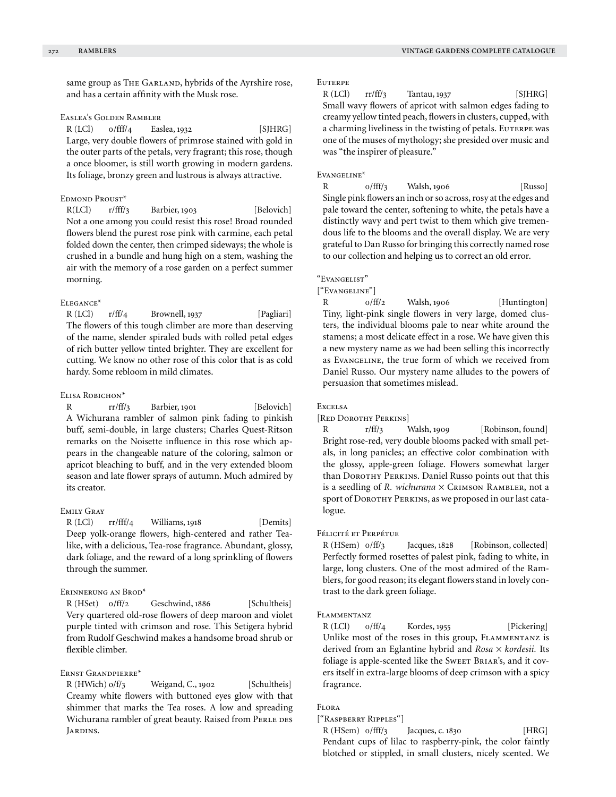same group as THE GARLAND, hybrids of the Ayrshire rose, and has a certain affinity with the Musk rose.

## Easlea's Golden Rambler

 $R$  (LCl)  $0/fft/4$  Easlea, 1932 [SJHRG] Large, very double flowers of primrose stained with gold in the outer parts of the petals, very fragrant; this rose, though a once bloomer, is still worth growing in modern gardens. Its foliage, bronzy green and lustrous is always attractive.

## Edmond Proust\*

R(LCl)  $r/fft/3$  Barbier, 1903 [Belovich] Not a one among you could resist this rose! Broad rounded flowers blend the purest rose pink with carmine, each petal folded down the center, then crimped sideways; the whole is crushed in a bundle and hung high on a stem, washing the air with the memory of a rose garden on a perfect summer morning.

## Elegance\*

R (LCl) r/ff/4 Brownell, 1937 [Pagliari] The flowers of this tough climber are more than deserving of the name, slender spiraled buds with rolled petal edges of rich butter yellow tinted brighter. They are excellent for cutting. We know no other rose of this color that is as cold hardy. Some rebloom in mild climates.

#### Elisa Robichon\*

R rr/ff/3 Barbier, 1901 [Belovich] A Wichurana rambler of salmon pink fading to pinkish buff, semi-double, in large clusters; Charles Quest-Ritson remarks on the Noisette influence in this rose which appears in the changeable nature of the coloring, salmon or apricot bleaching to buff, and in the very extended bloom season and late flower sprays of autumn. Much admired by its creator.

## Emily Gray

R (LCl) rr/fff/4 Williams, 1918 [Demits] Deep yolk-orange flowers, high-centered and rather Tealike, with a delicious, Tea-rose fragrance. Abundant, glossy, dark foliage, and the reward of a long sprinkling of flowers through the summer.

#### Erinnerung an Brod\*

R (HSet)  $0/ff/2$  Geschwind, 1886 [Schultheis] Very quartered old-rose flowers of deep maroon and violet purple tinted with crimson and rose. This Setigera hybrid from Rudolf Geschwind makes a handsome broad shrub or flexible climber.

## Ernst Grandpierre\*

R (HWich) o/f/3 Weigand, C., 1902 [Schultheis] Creamy white flowers with buttoned eyes glow with that shimmer that marks the Tea roses. A low and spreading Wichurana rambler of great beauty. Raised from PERLE DES JARDINS.

## **EUTERPE**

 $R (LCI)$  rr/ff/3 Tantau, 1937 [SJHRG] Small wavy flowers of apricot with salmon edges fading to creamy yellow tinted peach, flowers in clusters, cupped, with a charming liveliness in the twisting of petals. EUTERPE was one of the muses of mythology; she presided over music and was "the inspirer of pleasure."

#### Evangeline\*

R 0/fff/3 Walsh, 1906 [Russo] Single pink flowers an inch or so across, rosy at the edges and pale toward the center, softening to white, the petals have a distinctly wavy and pert twist to them which give tremendous life to the blooms and the overall display. We are very grateful to Dan Russo for bringing this correctly named rose to our collection and helping us to correct an old error.

## "Evangelist"

["Evangeline"]

R  $0/ff/2$  Walsh, 1906 [Huntington] Tiny, light-pink single flowers in very large, domed clusters, the individual blooms pale to near white around the stamens; a most delicate effect in a rose. We have given this a new mystery name as we had been selling this incorrectly as Evangeline, the true form of which we received from Daniel Russo. Our mystery name alludes to the powers of persuasion that sometimes mislead.

#### Excelsa

#### [Red Dorothy Perkins]

R r/ff/3 Walsh, 1909 [Robinson, found] Bright rose-red, very double blooms packed with small petals, in long panicles; an effective color combination with the glossy, apple-green foliage. Flowers somewhat larger than DOROTHY PERKINS. Daniel Russo points out that this is a seedling of *R. wichurana* × CRIMSON RAMBLER, not a sport of DOROTHY PERKINS, as we proposed in our last catalogue.

#### Félicité et Perpétue

R (HSem)  $o/ff/3$  Jacques, 1828 [Robinson, collected] Perfectly formed rosettes of palest pink, fading to white, in large, long clusters. One of the most admired of the Ramblers, for good reason; its elegant flowers stand in lovely contrast to the dark green foliage.

## FLAMMENTANZ

R (LCl) o/ff/4 Kordes, 1955 [Pickering] Unlike most of the roses in this group, FLAMMENTANZ is derived from an Eglantine hybrid and *Rosa* × *kordesii.* Its foliage is apple-scented like the SwEET BRIAR's, and it covers itself in extra-large blooms of deep crimson with a spicy fragrance.

# Flora

## ["Raspberry Ripples"]

R (HSem) 0/fff/3 Jacques, c. 1830 [HRG] Pendant cups of lilac to raspberry-pink, the color faintly blotched or stippled, in small clusters, nicely scented. We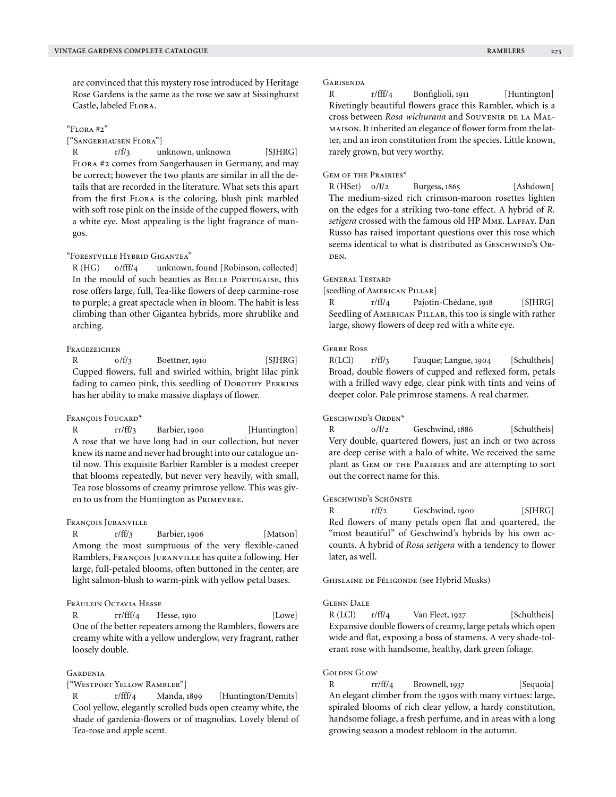are convinced that this mystery rose introduced by Heritage Rose Gardens is the same as the rose we saw at Sissinghurst Castle, labeled Flora.

#### "Flora #2"

["Sangerhausen Flora"]

R r/f/3 unknown, unknown [SJHRG] Flora #2 comes from Sangerhausen in Germany, and may be correct; however the two plants are similar in all the details that are recorded in the literature. What sets this apart from the first Flora is the coloring, blush pink marbled with soft rose pink on the inside of the cupped flowers, with a white eye. Most appealing is the light fragrance of mangos.

## "Forestville Hybrid Gigantea"

R (HG) 0/fff/4 unknown, found [Robinson, collected] In the mould of such beauties as BELLE PORTUGAISE, this rose offers large, full, Tea-like flowers of deep carmine-rose to purple; a great spectacle when in bloom. The habit is less climbing than other Gigantea hybrids, more shrublike and arching.

## **FRAGEZEICHEN**

R  $0/f/3$  Boettner, 1910 [SJHRG] Cupped flowers, full and swirled within, bright lilac pink fading to cameo pink, this seedling of DOROTHY PERKINS has her ability to make massive displays of flower.

## François Foucard\*

R rr/ff/3 Barbier, 1900 [Huntington] A rose that we have long had in our collection, but never knew its name and never had brought into our catalogue until now. This exquisite Barbier Rambler is a modest creeper that blooms repeatedly, but never very heavily, with small, Tea rose blossoms of creamy primrose yellow. This was given to us from the Huntington as Primevere.

#### François Juranville

R r/ff/3 Barbier, 1906 [Matson] Among the most sumptuous of the very flexible-caned Ramblers, François Juranville has quite a following. Her large, full-petaled blooms, often buttoned in the center, are light salmon-blush to warm-pink with yellow petal bases.

## Fräulein Octavia Hesse

rr/fff/4 Hesse, 1910 [Lowe] One of the better repeaters among the Ramblers, flowers are creamy white with a yellow underglow, very fragrant, rather loosely double.

#### **GARDENIA**

#### ["Westport Yellow Rambler"]

r/fff/4 Manda, 1899 [Huntington/Demits] Cool yellow, elegantly scrolled buds open creamy white, the shade of gardenia-flowers or of magnolias. Lovely blend of Tea-rose and apple scent.

#### **GARISENDA**

R r/fff/4 Bonfiglioli, 1911 [Huntington] Rivetingly beautiful flowers grace this Rambler, which is a cross between *Rosa wichurana* and SOUVENIR DE LA MALmaison. It inherited an elegance of flower form from the latter, and an iron constitution from the species. Little known, rarely grown, but very worthy.

#### Gem of the Prairies\*

R (HSet)  $0/\frac{f}{2}$  Burgess, 1865 [Ashdown] The medium-sized rich crimson-maroon rosettes lighten on the edges for a striking two-tone effect. A hybrid of *R.*  setigera crossed with the famous old HP MME. LAFFAY. Dan Russo has raised important questions over this rose which seems identical to what is distributed as GESCHWIND's ORden.

#### General Testard

[seedling of AMERICAN PILLAR]

R r/ff/4 Pajotin-Chédane, 1918 [SJHRG] Seedling of AMERICAN PILLAR, this too is single with rather large, showy flowers of deep red with a white eye.

## Gerbe Rose

R(LCl) r/ff/3 Fauque; Langue, 1904 [Schultheis] Broad, double flowers of cupped and reflexed form, petals with a frilled wavy edge, clear pink with tints and veins of deeper color. Pale primrose stamens. A real charmer.

## Geschwind's Orden\*

R  $0/f/2$  Geschwind, 1886 [Schultheis] Very double, quartered flowers, just an inch or two across are deep cerise with a halo of white. We received the same plant as GEM OF THE PRAIRIES and are attempting to sort out the correct name for this.

#### Geschwind's Schönste

R  $r/f/2$  Geschwind, 1900 [SJHRG] Red flowers of many petals open flat and quartered, the "most beautiful" of Geschwind's hybrids by his own accounts. A hybrid of *Rosa setigera* with a tendency to flower later, as well.

Ghislaine de Féligonde (see Hybrid Musks)

#### Glenn Dale

R (LCl) r/ff/4 Van Fleet, 1927 [Schultheis] Expansive double flowers of creamy, large petals which open wide and flat, exposing a boss of stamens. A very shade-tolerant rose with handsome, healthy, dark green foliage.

#### **GOLDEN GLOW**

R rr/ff/4 Brownell, 1937 [Sequoia] An elegant climber from the 1930s with many virtues: large, spiraled blooms of rich clear yellow, a hardy constitution, handsome foliage, a fresh perfume, and in areas with a long growing season a modest rebloom in the autumn.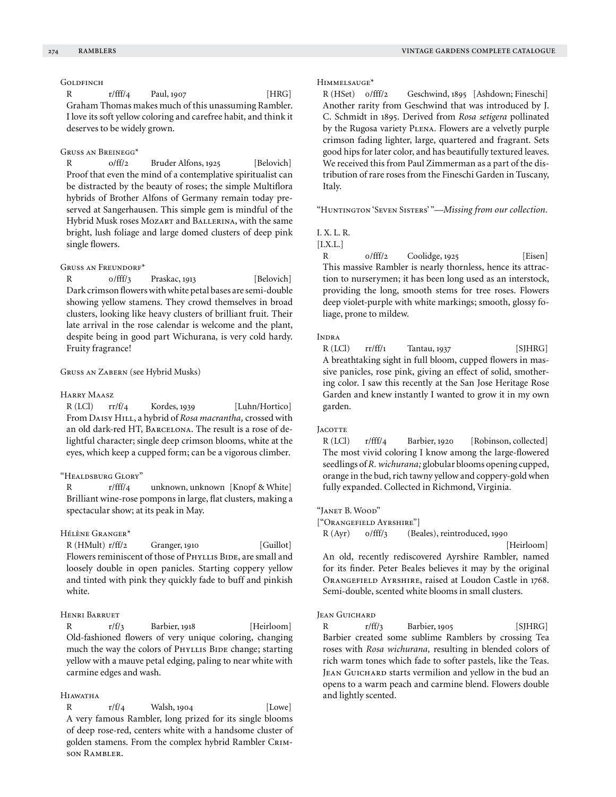## **GOLDFINCH**

R  $r/fff/4$  Paul, 1907 [HRG] Graham Thomas makes much of this unassuming Rambler. I love its soft yellow coloring and carefree habit, and think it deserves to be widely grown.

## Gruss an Breinegg\*

R  $o/ff/2$  Bruder Alfons, 1925 [Belovich] Proof that even the mind of a contemplative spiritualist can be distracted by the beauty of roses; the simple Multiflora hybrids of Brother Alfons of Germany remain today preserved at Sangerhausen. This simple gem is mindful of the Hybrid Musk roses Mozart and Ballerina, with the same bright, lush foliage and large domed clusters of deep pink single flowers.

#### GRUSS AN FREUNDORF<sup>\*</sup>

R 0/fff/3 Praskac, 1913 [Belovich] Dark crimson flowers with white petal bases are semi-double showing yellow stamens. They crowd themselves in broad clusters, looking like heavy clusters of brilliant fruit. Their late arrival in the rose calendar is welcome and the plant, despite being in good part Wichurana, is very cold hardy. Fruity fragrance!

Gruss an Zabern (see Hybrid Musks)

#### Harry Maasz

 $R (LCI)$   $rr/f/4$  Kordes, 1939 [Luhn/Hortico] From Daisy Hill, a hybrid of *Rosa macrantha,* crossed with an old dark-red HT, BARCELONA. The result is a rose of delightful character; single deep crimson blooms, white at the eyes, which keep a cupped form; can be a vigorous climber.

## "Healdsburg Glory"

R r/fff/4 unknown, unknown [Knopf & White] Brilliant wine-rose pompons in large, flat clusters, making a spectacular show; at its peak in May.

## Hélène Granger\*

 $R$  (HMult)  $r/ff/2$  Granger, 1910 [Guillot] Flowers reminiscent of those of PHYLLIS BIDE, are small and loosely double in open panicles. Starting coppery yellow and tinted with pink they quickly fade to buff and pinkish white.

## Henri Barruet

R r/f/3 Barbier, 1918 [Heirloom] Old-fashioned flowers of very unique coloring, changing much the way the colors of PHYLLIS BIDE change; starting yellow with a mauve petal edging, paling to near white with carmine edges and wash.

## Hiawatha

R  $r/f/4$  Walsh, 1904 [Lowe] A very famous Rambler, long prized for its single blooms of deep rose-red, centers white with a handsome cluster of golden stamens. From the complex hybrid Rambler CRIMson Rambler.

## Himmelsauge\*

R (HSet) 0/fff/2 Geschwind, 1895 [Ashdown; Fineschi] Another rarity from Geschwind that was introduced by J. C. Schmidt in 1895. Derived from *Rosa setigera* pollinated by the Rugosa variety PLENA. Flowers are a velvetly purple crimson fading lighter, large, quartered and fragrant. Sets good hips for later color, and has beautifully textured leaves. We received this from Paul Zimmerman as a part of the distribution of rare roses from the Fineschi Garden in Tuscany, Italy.

"Huntington 'Seven Sisters' "—*Missing from our collection.*

#### I. X. L. R.

[I.X.L.]

R  $0/$ fff/2 Coolidge, 1925 [Eisen] This massive Rambler is nearly thornless, hence its attraction to nurserymen; it has been long used as an interstock, providing the long, smooth stems for tree roses. Flowers deep violet-purple with white markings; smooth, glossy foliage, prone to mildew.

#### INDRA

 $R (LCI)$  rr/ff/1 Tantau, 1937 [SJHRG] A breathtaking sight in full bloom, cupped flowers in massive panicles, rose pink, giving an effect of solid, smothering color. I saw this recently at the San Jose Heritage Rose Garden and knew instantly I wanted to grow it in my own garden.

#### **JACOTTE**

R (LCl) r/fff/4 Barbier, 1920 [Robinson, collected] The most vivid coloring I know among the large-flowered seedlings of *R. wichurana;* globular blooms opening cupped, orange in the bud, rich tawny yellow and coppery-gold when fully expanded. Collected in Richmond, Virginia.

"Janet B. Wood"

["Orangefield Ayrshire"]

R (Ayr) 0/fff/3 (Beales), reintroduced, 1990

[Heirloom]

An old, recently rediscovered Ayrshire Rambler, named for its finder. Peter Beales believes it may by the original Orangefield Ayrshire, raised at Loudon Castle in 1768. Semi-double, scented white blooms in small clusters.

#### Jean Guichard

R r/ff/3 Barbier, 1905 [SJHRG] Barbier created some sublime Ramblers by crossing Tea roses with *Rosa wichurana,* resulting in blended colors of rich warm tones which fade to softer pastels, like the Teas. JEAN GUICHARD starts vermilion and yellow in the bud an opens to a warm peach and carmine blend. Flowers double and lightly scented.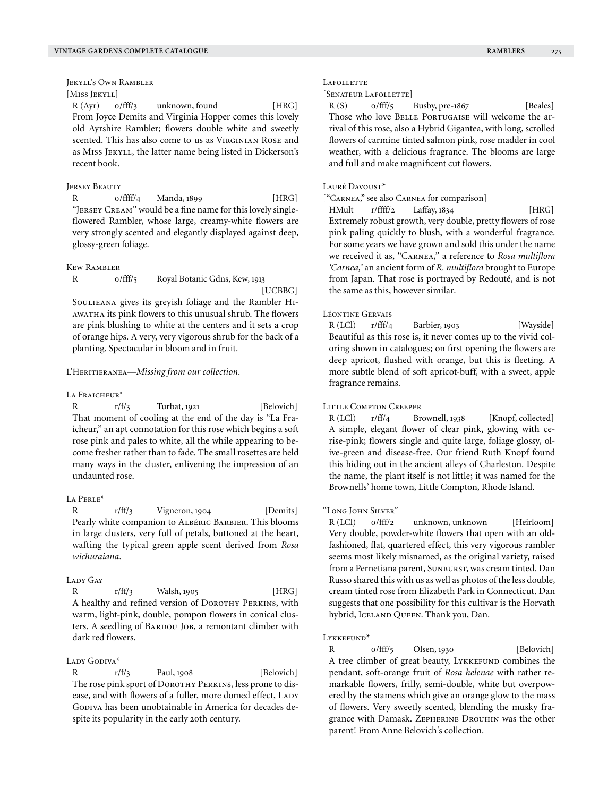Jekyll's Own Rambler

# [Miss Jekyll]

R (Ayr) o/fff/3 unknown, found [HRG] From Joyce Demits and Virginia Hopper comes this lovely old Ayrshire Rambler; flowers double white and sweetly scented. This has also come to us as VIRGINIAN ROSE and as Miss Jekyll, the latter name being listed in Dickerson's recent book.

## **JERSEY BEAUTY**

R 0/ffff/4 Manda, 1899 [HRG] "JERSEY CREAM" would be a fine name for this lovely singleflowered Rambler, whose large, creamy-white flowers are very strongly scented and elegantly displayed against deep, glossy-green foliage.

#### Kew Rambler

R 0/fff/5 Royal Botanic Gdns, Kew, 1913

[UCBBG]

Soulieana gives its greyish foliage and the Rambler Hiawatha its pink flowers to this unusual shrub. The flowers are pink blushing to white at the centers and it sets a crop of orange hips. A very, very vigorous shrub for the back of a planting. Spectacular in bloom and in fruit.

#### L'Heritieranea—*Missing from our collection.*

#### LA FRAICHEUR<sup>\*</sup>

R  $r/f/3$  Turbat, 1921 [Belovich] That moment of cooling at the end of the day is "La Fraicheur," an apt connotation for this rose which begins a soft rose pink and pales to white, all the while appearing to become fresher rather than to fade. The small rosettes are held many ways in the cluster, enlivening the impression of an undaunted rose.

#### La Perle\*

R  $r/ff/3$  Vigneron, 1904 [Demits] Pearly white companion to ALBÉRIC BARBIER. This blooms in large clusters, very full of petals, buttoned at the heart, wafting the typical green apple scent derived from *Rosa wichuraiana*.

#### LADY GAY

R r/ff/3 Walsh, 1905 [HRG] A healthy and refined version of DOROTHY PERKINS, with warm, light-pink, double, pompon flowers in conical clusters. A seedling of BARDOU JOB, a remontant climber with dark red flowers.

#### LADY GODIVA\*

R  $r/f/3$  Paul, 1908 [Belovich] The rose pink sport of DOROTHY PERKINS, less prone to disease, and with flowers of a fuller, more domed effect, LADY GODIVA has been unobtainable in America for decades despite its popularity in the early 20th century.

#### LAFOLLETTE

[SENATEUR LAFOLLETTE]

R (S) o/fff/5 Busby, pre-1867 [Beales] Those who love BELLE PORTUGAISE will welcome the arrival of this rose, also a Hybrid Gigantea, with long, scrolled flowers of carmine tinted salmon pink, rose madder in cool weather, with a delicious fragrance. The blooms are large and full and make magnificent cut flowers.

### LAURÉ DAVOUST\*

["Carnea," see also Carnea for comparison]

HMult r/ffff/2 Laffay, 1834 [HRG] Extremely robust growth, very double, pretty flowers of rose pink paling quickly to blush, with a wonderful fragrance. For some years we have grown and sold this under the name we received it as, "Carnea," a reference to *Rosa multiflora 'Carnea,'* an ancient form of *R. multiflora* brought to Europe from Japan. That rose is portrayed by Redouté, and is not the same as this, however similar.

## Léontine Gervais

R (LCl) r/fff/4 Barbier, 1903 [Wayside] Beautiful as this rose is, it never comes up to the vivid coloring shown in catalogues; on first opening the flowers are deep apricot, flushed with orange, but this is fleeting. A more subtle blend of soft apricot-buff, with a sweet, apple fragrance remains.

#### Little Compton Creeper

R (LCl) r/ff/4 Brownell, 1938 [Knopf, collected] A simple, elegant flower of clear pink, glowing with cerise-pink; flowers single and quite large, foliage glossy, olive-green and disease-free. Our friend Ruth Knopf found this hiding out in the ancient alleys of Charleston. Despite the name, the plant itself is not little; it was named for the Brownells' home town, Little Compton, Rhode Island.

## "Long John Silver"

R (LCl) o/fff/2 unknown, unknown [Heirloom] Very double, powder-white flowers that open with an oldfashioned, flat, quartered effect, this very vigorous rambler seems most likely misnamed, as the original variety, raised from a Pernetiana parent, SUNBURST, was cream tinted. Dan Russo shared this with us as well as photos of the less double, cream tinted rose from Elizabeth Park in Connecticut. Dan suggests that one possibility for this cultivar is the Horvath hybrid, ICELAND QUEEN. Thank you, Dan.

#### Lykkefund<sup>\*</sup>

R 0/fff/5 Olsen, 1930 [Belovich] A tree climber of great beauty, LYKKEFUND combines the pendant, soft-orange fruit of *Rosa helenae* with rather remarkable flowers, frilly, semi-double, white but overpowered by the stamens which give an orange glow to the mass of flowers. Very sweetly scented, blending the musky fragrance with Damask. Zepherine Drouhin was the other parent! From Anne Belovich's collection.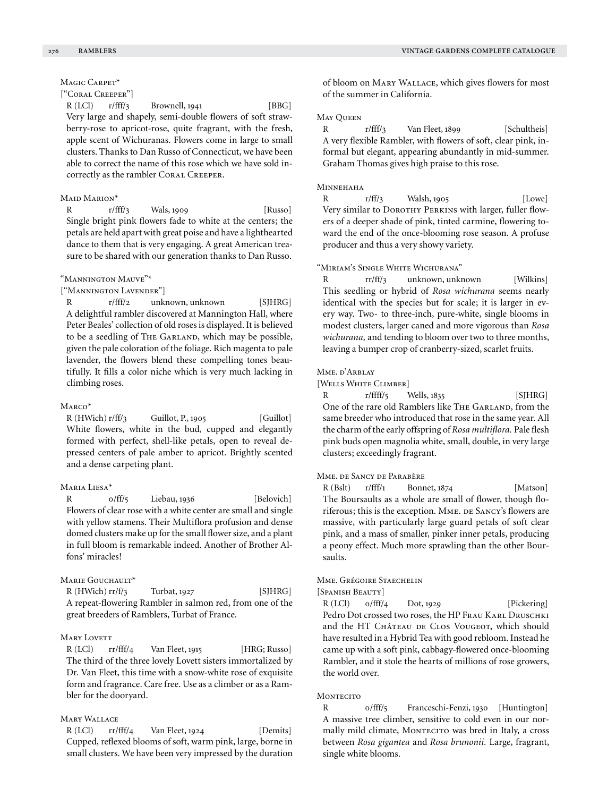## MAGIC CARPET<sup>\*</sup>

## ["Coral Creeper"]

 $R (LCI)$   $r/fft/3$  Brownell, 1941 [BBG] Very large and shapely, semi-double flowers of soft strawberry-rose to apricot-rose, quite fragrant, with the fresh, apple scent of Wichuranas. Flowers come in large to small clusters. Thanks to Dan Russo of Connecticut, we have been able to correct the name of this rose which we have sold incorrectly as the rambler CORAL CREEPER.

#### MAID MARION\*

R r/fff/3 Wals, 1909 [Russo] Single bright pink flowers fade to white at the centers; the petals are held apart with great poise and have a lighthearted dance to them that is very engaging. A great American treasure to be shared with our generation thanks to Dan Russo.

## "Mannington Mauve"\*

["Mannington Lavender"]

R r/fff/2 unknown, unknown [SJHRG] A delightful rambler discovered at Mannington Hall, where Peter Beales' collection of old roses is displayed. It is believed to be a seedling of THE GARLAND, which may be possible, given the pale coloration of the foliage. Rich magenta to pale lavender, the flowers blend these compelling tones beautifully. It fills a color niche which is very much lacking in climbing roses.

#### Marco\*

R (HWich) r/ff/3 Guillot, P., 1905 [Guillot] White flowers, white in the bud, cupped and elegantly formed with perfect, shell-like petals, open to reveal depressed centers of pale amber to apricot. Brightly scented and a dense carpeting plant.

## Maria Liesa\*

R 0/ff/5 Liebau, 1936 [Belovich] Flowers of clear rose with a white center are small and single with yellow stamens. Their Multiflora profusion and dense domed clusters make up for the small flower size, and a plant in full bloom is remarkable indeed. Another of Brother Alfons' miracles!

## MARIE GOUCHAULT<sup>\*</sup>

 $R$  (HWich)  $rr/f/3$  Turbat, 1927 [SJHRG] A repeat-flowering Rambler in salmon red, from one of the great breeders of Ramblers, Turbat of France.

## **MARY LOVETT**

R (LCl) rr/fff/4 Van Fleet, 1915 [HRG; Russo] The third of the three lovely Lovett sisters immortalized by Dr. Van Fleet, this time with a snow-white rose of exquisite form and fragrance. Care free. Use as a climber or as a Rambler for the dooryard.

## Mary Wallace

R (LCl) rr/fff/4 Van Fleet, 1924 [Demits] Cupped, reflexed blooms of soft, warm pink, large, borne in small clusters. We have been very impressed by the duration of bloom on Mary Wallace, which gives flowers for most of the summer in California.

## MAY **OUEEN**

R r/fff/3 Van Fleet, 1899 [Schultheis] A very flexible Rambler, with flowers of soft, clear pink, informal but elegant, appearing abundantly in mid-summer. Graham Thomas gives high praise to this rose.

## Minnehaha

R r/ff/3 Walsh, 1905 [Lowe] Very similar to DOROTHY PERKINS with larger, fuller flowers of a deeper shade of pink, tinted carmine, flowering toward the end of the once-blooming rose season. A profuse producer and thus a very showy variety.

## "Miriam's Single White Wichurana"

R rr/ff/3 unknown, unknown [Wilkins] This seedling or hybrid of *Rosa wichurana* seems nearly identical with the species but for scale; it is larger in every way. Two- to three-inch, pure-white, single blooms in modest clusters, larger caned and more vigorous than *Rosa wichurana,* and tending to bloom over two to three months, leaving a bumper crop of cranberry-sized, scarlet fruits.

#### Mme. d'Arblay

[Wells White Climber]

R  $r/ffff/5$  Wells,  $1835$  [SJHRG] One of the rare old Ramblers like THE GARLAND, from the same breeder who introduced that rose in the same year. All the charm of the early offspring of *Rosa multiflora.* Pale flesh pink buds open magnolia white, small, double, in very large clusters; exceedingly fragrant.

## Mme. de Sancy de Parabère

R (Bslt) r/fff/1 Bonnet, 1874 [Matson] The Boursaults as a whole are small of flower, though floriferous; this is the exception. MME. DE SANCY's flowers are massive, with particularly large guard petals of soft clear pink, and a mass of smaller, pinker inner petals, producing a peony effect. Much more sprawling than the other Boursaults.

## Mme. Grégoire Staechelin

[Spanish Beauty]

 $R (LCI)$   $0/fff/4$   $Dot, 1929$  [Pickering] Pedro Dot crossed two roses, the HP FRAU KARL DRUSCHKI and the HT CHÂTEAU DE CLOS VOUGEOT, which should have resulted in a Hybrid Tea with good rebloom. Instead he came up with a soft pink, cabbagy-flowered once-blooming Rambler, and it stole the hearts of millions of rose growers, the world over.

## **MONTECITO**

R 0/fff/5 Franceschi-Fenzi, 1930 [Huntington] A massive tree climber, sensitive to cold even in our normally mild climate, MONTECITO was bred in Italy, a cross between *Rosa gigantea* and *Rosa brunonii.* Large, fragrant, single white blooms.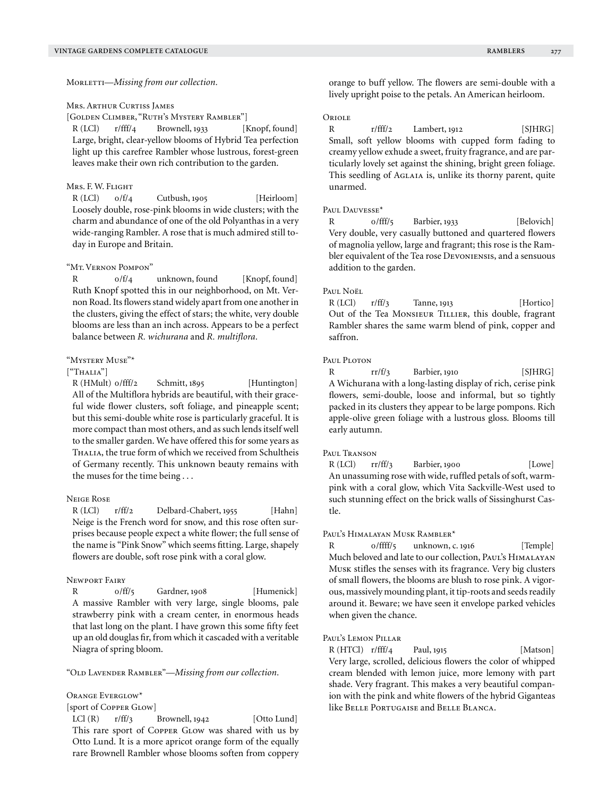Morletti—*Missing from our collection.*

Mrs. Arthur Curtiss James

[Golden Climber, "Ruth's Mystery Rambler"]

R (LCl) r/fff/4 Brownell, 1933 [Knopf, found] Large, bright, clear-yellow blooms of Hybrid Tea perfection light up this carefree Rambler whose lustrous, forest-green leaves make their own rich contribution to the garden.

## Mrs. F. W. Flight

R (LCl)  $0/f/4$  Cutbush, 1905 [Heirloom] Loosely double, rose-pink blooms in wide clusters; with the charm and abundance of one of the old Polyanthas in a very wide-ranging Rambler. A rose that is much admired still today in Europe and Britain.

#### "Mt. Vernon Pompon"

R  $0/f/4$  unknown, found [Knopf, found] Ruth Knopf spotted this in our neighborhood, on Mt. Vernon Road. Its flowers stand widely apart from one another in the clusters, giving the effect of stars; the white, very double blooms are less than an inch across. Appears to be a perfect balance between *R. wichurana* and *R. multiflora.*

## "Mystery Muse"\*

## $[$ "Thalia"]

R (HMult) o/fff/2 Schmitt, 1895 [Huntington] All of the Multiflora hybrids are beautiful, with their graceful wide flower clusters, soft foliage, and pineapple scent; but this semi-double white rose is particularly graceful. It is more compact than most others, and as such lends itself well to the smaller garden. We have offered this for some years as THALIA, the true form of which we received from Schultheis of Germany recently. This unknown beauty remains with the muses for the time being . . .

#### Neige Rose

R (LCl) r/ff/2 Delbard-Chabert, 1955 [Hahn] Neige is the French word for snow, and this rose often surprises because people expect a white flower; the full sense of the name is "Pink Snow" which seems fitting. Large, shapely flowers are double, soft rose pink with a coral glow.

## Newport Fairy

R  $0/ff/5$  Gardner, 1908 [Humenick] A massive Rambler with very large, single blooms, pale strawberry pink with a cream center, in enormous heads that last long on the plant. I have grown this some fifty feet up an old douglas fir, from which it cascaded with a veritable Niagra of spring bloom.

"Old Lavender Rambler"—*Missing from our collection.*

Orange Everglow\*

[sport of Copper Glow]

 $LCl (R)$   $r/ff/3$  Brownell, 1942 [Otto Lund] This rare sport of Copper GLow was shared with us by Otto Lund. It is a more apricot orange form of the equally rare Brownell Rambler whose blooms soften from coppery orange to buff yellow. The flowers are semi-double with a lively upright poise to the petals. An American heirloom.

## **ORIOLE**

R  $r/fft/2$  Lambert, 1912 [SJHRG] Small, soft yellow blooms with cupped form fading to creamy yellow exhude a sweet, fruity fragrance, and are particularly lovely set against the shining, bright green foliage. This seedling of AGLAIA is, unlike its thorny parent, quite unarmed.

#### PAUL DAUVESSE<sup>\*</sup>

R 0/fff/5 Barbier, 1933 [Belovich] Very double, very casually buttoned and quartered flowers of magnolia yellow, large and fragrant; this rose is the Rambler equivalent of the Tea rose Devoniensis, and a sensuous addition to the garden.

#### Paul Noël

 $R (LCI)$   $r/ff/3$  Tanne, 1913 [Hortico] Out of the Tea Monsieur Tillier, this double, fragrant Rambler shares the same warm blend of pink, copper and saffron.

#### Paul Ploton

R rr/f/3 Barbier, 1910 [SJHRG] A Wichurana with a long-lasting display of rich, cerise pink flowers, semi-double, loose and informal, but so tightly packed in its clusters they appear to be large pompons. Rich apple-olive green foliage with a lustrous gloss. Blooms till early autumn.

#### Paul Transon

 $R (LCI)$  rr/ff/3 Barbier, 1900 [Lowe] An unassuming rose with wide, ruffled petals of soft, warmpink with a coral glow, which Vita Sackville-West used to such stunning effect on the brick walls of Sissinghurst Castle.

#### Paul's Himalayan Musk Rambler<sup>\*</sup>

R 0/ffff/5 unknown, c. 1916 [Temple] Much beloved and late to our collection, Paul's Himalayan Musk stifles the senses with its fragrance. Very big clusters of small flowers, the blooms are blush to rose pink. A vigorous, massively mounding plant, it tip-roots and seeds readily around it. Beware; we have seen it envelope parked vehicles when given the chance.

## Paul's Lemon Pillar

R (HTCl) r/fff/4 Paul, 1915 [Matson] Very large, scrolled, delicious flowers the color of whipped cream blended with lemon juice, more lemony with part shade. Very fragrant. This makes a very beautiful companion with the pink and white flowers of the hybrid Giganteas like Belle Portugaise and Belle Blanca.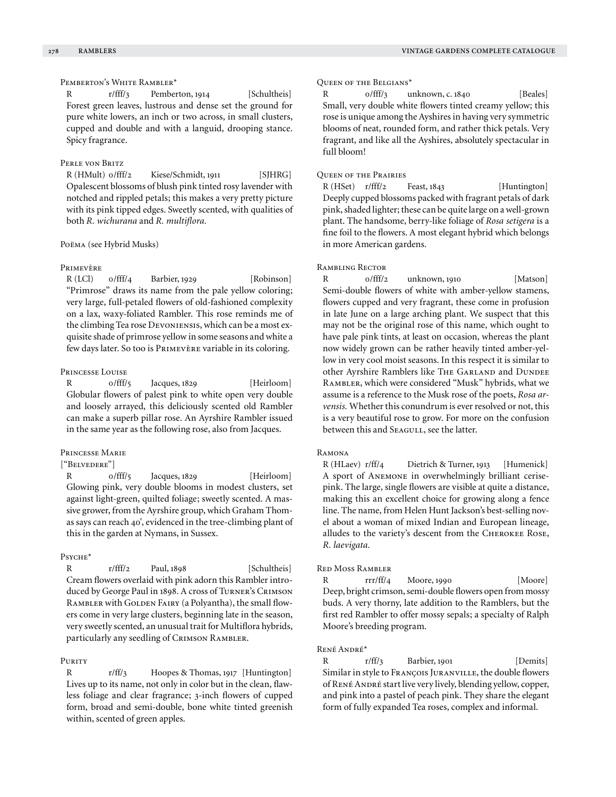## PEMBERTON'S WHITE RAMBLER\*

R r/fff/3 Pemberton, 1914 [Schultheis] Forest green leaves, lustrous and dense set the ground for pure white lowers, an inch or two across, in small clusters, cupped and double and with a languid, drooping stance. Spicy fragrance.

## Perle von Britz

R (HMult) o/fff/2 Kiese/Schmidt, 1911 [SJHRG] Opalescent blossoms of blush pink tinted rosy lavender with notched and rippled petals; this makes a very pretty picture with its pink tipped edges. Sweetly scented, with qualities of both *R. wichurana* and *R. multiflora.*

#### Poëma (see Hybrid Musks)

#### Primevère

 $R (LCI)$   $0/fft/4$  Barbier, 1929 [Robinson] "Primrose" draws its name from the pale yellow coloring; very large, full-petaled flowers of old-fashioned complexity on a lax, waxy-foliated Rambler. This rose reminds me of the climbing Tea rose Devoniensis, which can be a most exquisite shade of primrose yellow in some seasons and white a few days later. So too is Primevère variable in its coloring.

#### Princesse Louise

R  $0/$ fff/5 Jacques, 1829 [Heirloom] Globular flowers of palest pink to white open very double and loosely arrayed, this deliciously scented old Rambler can make a superb pillar rose. An Ayrshire Rambler issued in the same year as the following rose, also from Jacques.

## Princesse Marie

## ["Belvedere"]

R 0/fff/5 Jacques, 1829 [Heirloom] Glowing pink, very double blooms in modest clusters, set against light-green, quilted foliage; sweetly scented. A massive grower, from the Ayrshire group, which Graham Thomas says can reach 40', evidenced in the tree-climbing plant of this in the garden at Nymans, in Sussex.

#### Psyche\*

R r/fff/2 Paul, 1898 [Schultheis] Cream flowers overlaid with pink adorn this Rambler introduced by George Paul in 1898. A cross of Turner's Crimson RAMBLER with GOLDEN FAIRY (a Polyantha), the small flowers come in very large clusters, beginning late in the season, very sweetly scented, an unusual trait for Multiflora hybrids, particularly any seedling of CRIMSON RAMBLER.

#### PURITY

R r/ff/3 Hoopes & Thomas, 1917 [Huntington] Lives up to its name, not only in color but in the clean, flawless foliage and clear fragrance; 3-inch flowers of cupped form, broad and semi-double, bone white tinted greenish within, scented of green apples.

## Queen of the Belgians\*

R  $0/fff/3$  unknown, c. 1840 [Beales] Small, very double white flowers tinted creamy yellow; this rose is unique among the Ayshires in having very symmetric blooms of neat, rounded form, and rather thick petals. Very fragrant, and like all the Ayshires, absolutely spectacular in full bloom!

## Queen of the Prairies

R (HSet) r/fff/2 Feast, 1843 [Huntington] Deeply cupped blossoms packed with fragrant petals of dark pink, shaded lighter; these can be quite large on a well-grown plant. The handsome, berry-like foliage of *Rosa setigera* is a fine foil to the flowers. A most elegant hybrid which belongs in more American gardens.

## Rambling Rector

R  $0/fft/2$  unknown, 1910 [Matson] Semi-double flowers of white with amber-yellow stamens, flowers cupped and very fragrant, these come in profusion in late June on a large arching plant. We suspect that this may not be the original rose of this name, which ought to have pale pink tints, at least on occasion, whereas the plant now widely grown can be rather heavily tinted amber-yellow in very cool moist seasons. In this respect it is similar to other Ayrshire Ramblers like THE GARLAND and DUNDEE Rambler, which were considered "Musk" hybrids, what we assume is a reference to the Musk rose of the poets, *Rosa arvensis.* Whether this conundrum is ever resolved or not, this is a very beautiful rose to grow. For more on the confusion between this and SEAGULL, see the latter.

#### Ramona

R (HLaev) r/ff/4 Dietrich & Turner, 1913 [Humenick] A sport of Anemone in overwhelmingly brilliant cerisepink. The large, single flowers are visible at quite a distance, making this an excellent choice for growing along a fence line. The name, from Helen Hunt Jackson's best-selling novel about a woman of mixed Indian and European lineage, alludes to the variety's descent from the Cherokee Rose, *R. laevigata.*

#### Red Moss Rambler

R rrr/ff/4 Moore, 1990 [Moore] Deep, bright crimson, semi-double flowers open from mossy buds. A very thorny, late addition to the Ramblers, but the first red Rambler to offer mossy sepals; a specialty of Ralph Moore's breeding program.

#### René André\*

R r/ff/3 Barbier, 1901 [Demits] Similar in style to François Juranville, the double flowers of René André start live very lively, blending yellow, copper, and pink into a pastel of peach pink. They share the elegant form of fully expanded Tea roses, complex and informal.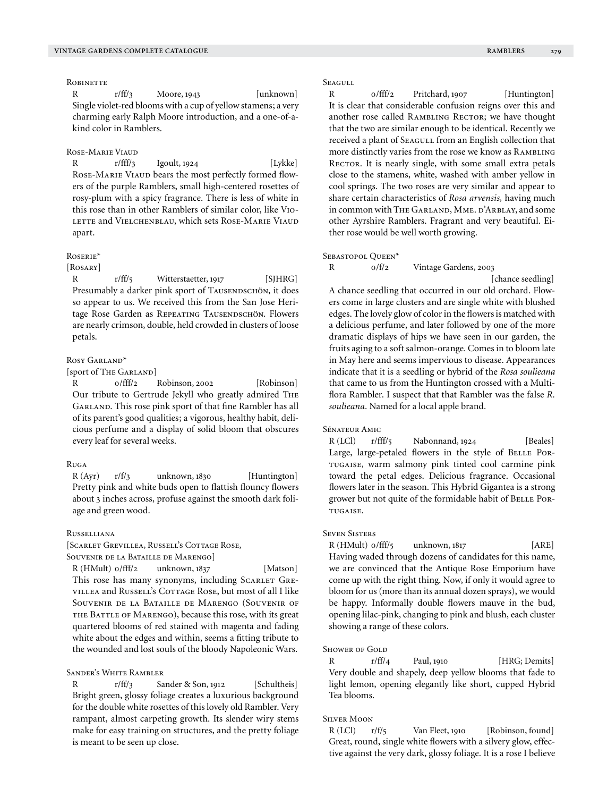#### **ROBINETTE**

R r/ff/3 Moore, 1943 [unknown] Single violet-red blooms with a cup of yellow stamens; a very charming early Ralph Moore introduction, and a one-of-akind color in Ramblers.

#### Rose-Marie Viaud

R  $r/fff/3$  Igoult, 1924 [Lykke] Rose-Marie Viaud bears the most perfectly formed flowers of the purple Ramblers, small high-centered rosettes of rosy-plum with a spicy fragrance. There is less of white in this rose than in other Ramblers of similar color, like Vio-LETTE and VIELCHENBLAU, which sets ROSE-MARIE VIAUD apart.

#### Roserie\*

#### [ROSARY]

R r/ff/5 Witterstaetter, 1917 [SJHRG] Presumably a darker pink sport of TAUSENDSCHÖN, it does so appear to us. We received this from the San Jose Heritage Rose Garden as REPEATING TAUSENDSCHÖN. Flowers are nearly crimson, double, held crowded in clusters of loose petals.

### Rosy Garland\*

[sport of The Garland]

R  $0/fft/2$  Robinson, 2002 [Robinson] Our tribute to Gertrude Jekyll who greatly admired The Garland. This rose pink sport of that fine Rambler has all of its parent's good qualities; a vigorous, healthy habit, delicious perfume and a display of solid bloom that obscures every leaf for several weeks.

#### Ruga

R (Ayr)  $r/f/3$  unknown, 1830 [Huntington] Pretty pink and white buds open to flattish flouncy flowers about 3 inches across, profuse against the smooth dark foliage and green wood.

#### Russelliana

[Scarlet Grevillea, Russell's Cottage Rose,

Souvenir de la Bataille de Marengo]

R (HMult) o/fff/2 unknown, 1837 [Matson] This rose has many synonyms, including SCARLET GREvillea and Russell's Cottage Rose, but most of all I like Souvenir de la Bataille de Marengo (Souvenir of THE BATTLE OF MARENGO), because this rose, with its great quartered blooms of red stained with magenta and fading white about the edges and within, seems a fitting tribute to the wounded and lost souls of the bloody Napoleonic Wars.

#### Sander's White Rambler

R r/ff/3 Sander & Son, 1912 [Schultheis] Bright green, glossy foliage creates a luxurious background for the double white rosettes of this lovely old Rambler. Very rampant, almost carpeting growth. Its slender wiry stems make for easy training on structures, and the pretty foliage is meant to be seen up close.

#### **SEAGULL**

R 0/fff/2 Pritchard, 1907 [Huntington] It is clear that considerable confusion reigns over this and another rose called RAMBLING RECTOR; we have thought that the two are similar enough to be identical. Recently we received a plant of SEAGULL from an English collection that more distinctly varies from the rose we know as Rambling RECTOR. It is nearly single, with some small extra petals close to the stamens, white, washed with amber yellow in cool springs. The two roses are very similar and appear to share certain characteristics of *Rosa arvensis,* having much in common with THE GARLAND, MME. D'ARBLAY, and some other Ayrshire Ramblers. Fragrant and very beautiful. Either rose would be well worth growing.

#### SEBASTOPOL QUEEN\*

R 0/f/2 Vintage Gardens, 2003

[chance seedling]

A chance seedling that occurred in our old orchard. Flowers come in large clusters and are single white with blushed edges. The lovely glow of color in the flowers is matched with a delicious perfume, and later followed by one of the more dramatic displays of hips we have seen in our garden, the fruits aging to a soft salmon-orange. Comes in to bloom late in May here and seems impervious to disease. Appearances indicate that it is a seedling or hybrid of the *Rosa soulieana* that came to us from the Huntington crossed with a Multiflora Rambler. I suspect that that Rambler was the false *R. soulieana*. Named for a local apple brand.

#### Sénateur Amic

 $R (LCI)$   $r/fft/5$  Nabonnand, 1924 [Beales] Large, large-petaled flowers in the style of BELLE PORtugaise, warm salmony pink tinted cool carmine pink toward the petal edges. Delicious fragrance. Occasional flowers later in the season. This Hybrid Gigantea is a strong grower but not quite of the formidable habit of BELLE PORtugaise.

#### Seven Sisters

 $R$  (HMult)  $0$ /fff/ $5$  unknown,  $1817$  [ARE] Having waded through dozens of candidates for this name, we are convinced that the Antique Rose Emporium have come up with the right thing. Now, if only it would agree to bloom for us (more than its annual dozen sprays), we would be happy. Informally double flowers mauve in the bud, opening lilac-pink, changing to pink and blush, each cluster showing a range of these colors.

#### SHOWER OF GOLD

R r/ff/4 Paul, 1910 [HRG; Demits] Very double and shapely, deep yellow blooms that fade to light lemon, opening elegantly like short, cupped Hybrid Tea blooms.

#### **SILVER MOON**

R (LCl)  $r/f/5$  Van Fleet, 1910 [Robinson, found] Great, round, single white flowers with a silvery glow, effective against the very dark, glossy foliage. It is a rose I believe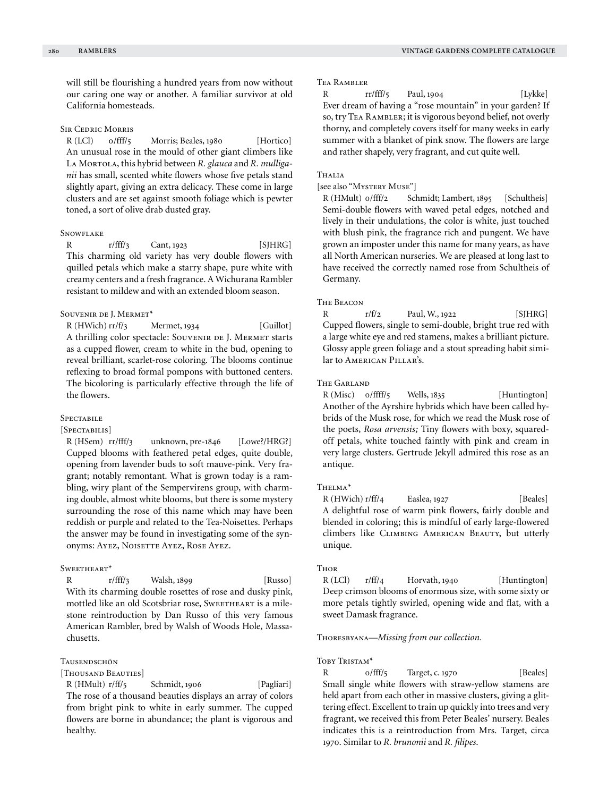will still be flourishing a hundred years from now without our caring one way or another. A familiar survivor at old California homesteads.

#### Sir Cedric Morris

R (LCl) o/fff/5 Morris; Beales, 1980 [Hortico] An unusual rose in the mould of other giant climbers like LA MORTOLA, this hybrid between *R. glauca* and *R. mulliganii* has small, scented white flowers whose five petals stand slightly apart, giving an extra delicacy. These come in large clusters and are set against smooth foliage which is pewter toned, a sort of olive drab dusted gray.

#### **SNOWFLAKE**

R  $r/fff/3$  Cant, 1923 [SJHRG] This charming old variety has very double flowers with quilled petals which make a starry shape, pure white with creamy centers and a fresh fragrance. A Wichurana Rambler resistant to mildew and with an extended bloom season.

## Souvenir de J. Mermet\*

R (HWich) rr/f/3 Mermet, 1934 [Guillot] A thrilling color spectacle: SOUVENIR DE J. MERMET starts as a cupped flower, cream to white in the bud, opening to reveal brilliant, scarlet-rose coloring. The blooms continue reflexing to broad formal pompons with buttoned centers. The bicoloring is particularly effective through the life of the flowers.

#### **SPECTABILE**

[Spectabilis]

R (HSem) rr/fff/3 unknown, pre-1846 [Lowe?/HRG?] Cupped blooms with feathered petal edges, quite double, opening from lavender buds to soft mauve-pink. Very fragrant; notably remontant. What is grown today is a rambling, wiry plant of the Sempervirens group, with charming double, almost white blooms, but there is some mystery surrounding the rose of this name which may have been reddish or purple and related to the Tea-Noisettes. Perhaps the answer may be found in investigating some of the synonyms: Ayez, Noisette Ayez, Rose Ayez.

#### SWEETHEART\*

R r/fff/3 Walsh, 1899 [Russo] With its charming double rosettes of rose and dusky pink, mottled like an old Scotsbriar rose, SwEETHEART is a milestone reintroduction by Dan Russo of this very famous American Rambler, bred by Walsh of Woods Hole, Massachusetts.

#### **TAUSENDSCHÖN**

[Thousand Beauties]

R (HMult) r/ff/5 Schmidt, 1906 [Pagliari] The rose of a thousand beauties displays an array of colors from bright pink to white in early summer. The cupped flowers are borne in abundance; the plant is vigorous and healthy.

#### Tea Rambler

R  $rr/fff/5$  Paul, 1904 [Lykke] Ever dream of having a "rose mountain" in your garden? If so, try Tea Rambler; it is vigorous beyond belief, not overly thorny, and completely covers itself for many weeks in early summer with a blanket of pink snow. The flowers are large and rather shapely, very fragrant, and cut quite well.

## Thalia

#### [see also "Mystery Muse"]

R (HMult) 0/fff/2 Schmidt; Lambert, 1895 [Schultheis] Semi-double flowers with waved petal edges, notched and lively in their undulations, the color is white, just touched with blush pink, the fragrance rich and pungent. We have grown an imposter under this name for many years, as have all North American nurseries. We are pleased at long last to have received the correctly named rose from Schultheis of Germany.

## The Beacon

R  $r/f/2$  Paul, W., 1922 [SJHRG] Cupped flowers, single to semi-double, bright true red with a large white eye and red stamens, makes a brilliant picture. Glossy apple green foliage and a stout spreading habit similar to American Pillar's.

## The Garland

R (Misc) o/ffff/5 Wells, 1835 [Huntington] Another of the Ayrshire hybrids which have been called hybrids of the Musk rose, for which we read the Musk rose of the poets, *Rosa arvensis;* Tiny flowers with boxy, squaredoff petals, white touched faintly with pink and cream in very large clusters. Gertrude Jekyll admired this rose as an antique.

#### Thelma\*

R (HWich) r/ff/4 Easlea, 1927 [Beales] A delightful rose of warm pink flowers, fairly double and blended in coloring; this is mindful of early large-flowered climbers like Climbing American Beauty, but utterly unique.

## **Thor**

 $R (LCI)$   $r/ff/4$  Horvath, 1940 [Huntington] Deep crimson blooms of enormous size, with some sixty or more petals tightly swirled, opening wide and flat, with a sweet Damask fragrance.

## Thoresbyana—*Missing from our collection.*

#### TOBY TRISTAM<sup>\*</sup>

R 0/fff/5 Target, c. 1970 [Beales] Small single white flowers with straw-yellow stamens are held apart from each other in massive clusters, giving a glittering effect. Excellent to train up quickly into trees and very fragrant, we received this from Peter Beales' nursery. Beales indicates this is a reintroduction from Mrs. Target, circa 1970. Similar to *R. brunonii* and *R. filipes*.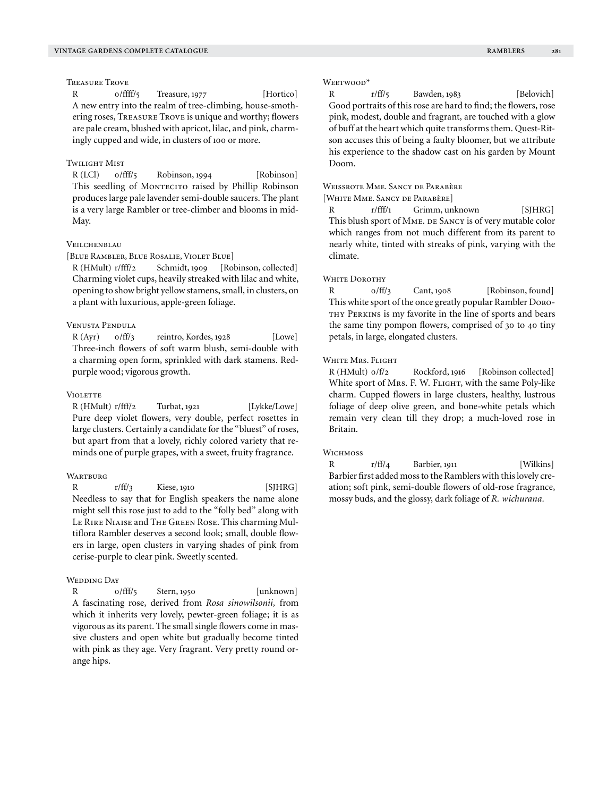Treasure Trove

R 0/ffff/5 Treasure, 1977 [Hortico] A new entry into the realm of tree-climbing, house-smothering roses, Treasure Trove is unique and worthy; flowers are pale cream, blushed with apricot, lilac, and pink, charmingly cupped and wide, in clusters of 100 or more.

## Twilight Mist

R (LCl)  $o/fft/5$  Robinson, 1994 [Robinson] This seedling of MONTECITO raised by Phillip Robinson produces large pale lavender semi-double saucers. The plant is a very large Rambler or tree-climber and blooms in mid-May.

## **VEILCHENBLAU**

[Blue Rambler, Blue Rosalie, Violet Blue]

R (HMult) r/fff/2 Schmidt, 1909 [Robinson, collected] Charming violet cups, heavily streaked with lilac and white, opening to show bright yellow stamens, small, in clusters, on a plant with luxurious, apple-green foliage.

## Venusta Pendula

 $R (Ayr)$   $0/ff/3$  reintro, Kordes, 1928 [Lowe] Three-inch flowers of soft warm blush, semi-double with a charming open form, sprinkled with dark stamens. Redpurple wood; vigorous growth.

#### **VIOLETTE**

 $R$  (HMult)  $r/fff/2$  Turbat, 1921 [Lykke/Lowe] Pure deep violet flowers, very double, perfect rosettes in large clusters. Certainly a candidate for the "bluest" of roses, but apart from that a lovely, richly colored variety that reminds one of purple grapes, with a sweet, fruity fragrance.

## WARTBURG

R r/ff/3 Kiese, 1910 [SJHRG] Needless to say that for English speakers the name alone might sell this rose just to add to the "folly bed" along with Le Rire Niaise and The Green Rose. This charming Multiflora Rambler deserves a second look; small, double flowers in large, open clusters in varying shades of pink from cerise-purple to clear pink. Sweetly scented.

#### Wedding Day

R  $0/$ fff/5 Stern, 1950 [unknown] A fascinating rose, derived from *Rosa sinowilsonii,* from which it inherits very lovely, pewter-green foliage; it is as vigorous as its parent. The small single flowers come in massive clusters and open white but gradually become tinted with pink as they age. Very fragrant. Very pretty round orange hips.

#### WEETWOOD<sup>\*</sup>

R r/ff/5 Bawden, 1983 [Belovich] Good portraits of this rose are hard to find; the flowers, rose pink, modest, double and fragrant, are touched with a glow of buff at the heart which quite transforms them. Quest-Ritson accuses this of being a faulty bloomer, but we attribute his experience to the shadow cast on his garden by Mount Doom.

## Weissrote Mme. Sancy de Parabère

[White Mme. Sancy de Parabère]

R r/fff/1 Grimm, unknown [SJHRG] This blush sport of MME. DE SANCY is of very mutable color which ranges from not much different from its parent to nearly white, tinted with streaks of pink, varying with the climate.

#### WHITE DOROTHY

R  $0/ff/3$  Cant, 1908 [Robinson, found] This white sport of the once greatly popular Rambler Doro-THY PERKINS is my favorite in the line of sports and bears the same tiny pompon flowers, comprised of 30 to 40 tiny petals, in large, elongated clusters.

#### WHITE MRS. FLIGHT

R (HMult)  $0/f/2$  Rockford, 1916 [Robinson collected] White sport of Mrs. F. W. FLIGHT, with the same Poly-like charm. Cupped flowers in large clusters, healthy, lustrous foliage of deep olive green, and bone-white petals which remain very clean till they drop; a much-loved rose in Britain.

#### WICHMOSS

R r/ff/4 Barbier, 1911 [Wilkins] Barbier first added moss to the Ramblers with this lovely creation; soft pink, semi-double flowers of old-rose fragrance, mossy buds, and the glossy, dark foliage of *R. wichurana.*